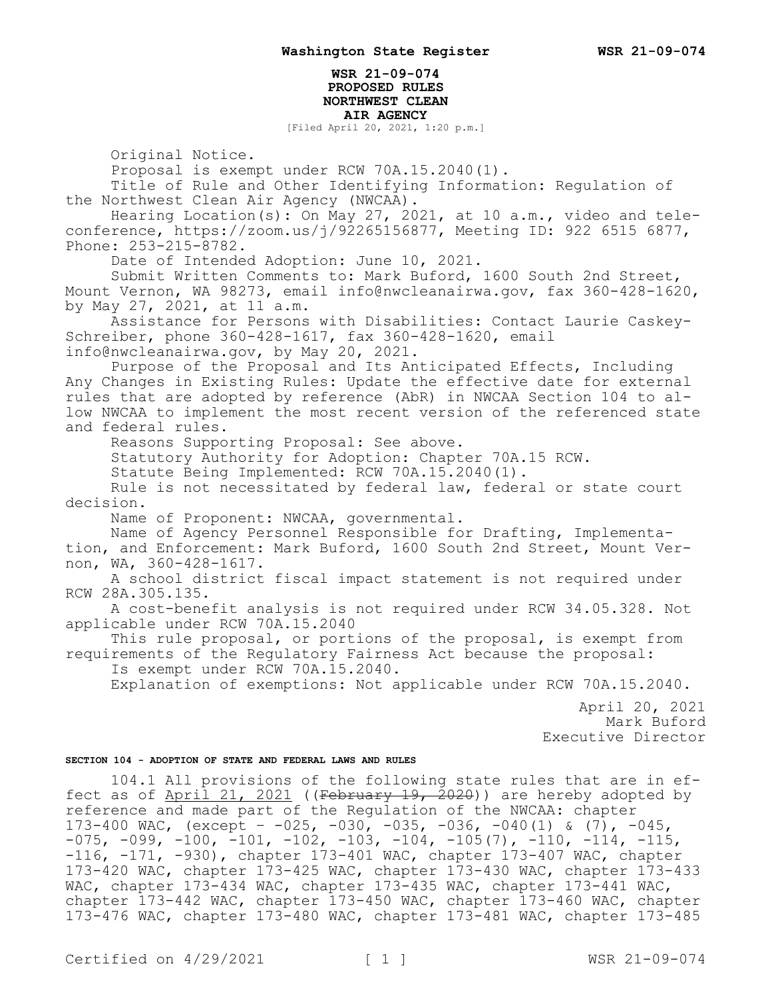## **WSR 21-09-074 PROPOSED RULES NORTHWEST CLEAN AIR AGENCY**

[Filed April 20, 2021, 1:20 p.m.]

Original Notice.

Proposal is exempt under RCW 70A.15.2040(1).

Title of Rule and Other Identifying Information: Regulation of the Northwest Clean Air Agency (NWCAA).

Hearing Location(s): On May 27, 2021, at 10 a.m., video and teleconference, https://zoom.us/j/92265156877, Meeting ID: 922 6515 6877, Phone: 253-215-8782.

Date of Intended Adoption: June 10, 2021.

Submit Written Comments to: Mark Buford, 1600 South 2nd Street, Mount Vernon, WA 98273, email info@nwcleanairwa.gov, fax 360-428-1620, by May 27, 2021, at 11 a.m.

Assistance for Persons with Disabilities: Contact Laurie Caskey-Schreiber, phone 360-428-1617, fax 360-428-1620, email info@nwcleanairwa.gov, by May 20, 2021.

Purpose of the Proposal and Its Anticipated Effects, Including Any Changes in Existing Rules: Update the effective date for external rules that are adopted by reference (AbR) in NWCAA Section 104 to allow NWCAA to implement the most recent version of the referenced state and federal rules.

Reasons Supporting Proposal: See above.

Statutory Authority for Adoption: Chapter 70A.15 RCW.

Statute Being Implemented: RCW 70A.15.2040(1).

Rule is not necessitated by federal law, federal or state court decision.

Name of Proponent: NWCAA, governmental.

Name of Agency Personnel Responsible for Drafting, Implementa-

tion, and Enforcement: Mark Buford, 1600 South 2nd Street, Mount Vernon, WA, 360-428-1617.

A school district fiscal impact statement is not required under RCW 28A.305.135.

A cost-benefit analysis is not required under RCW 34.05.328. Not applicable under RCW 70A.15.2040

This rule proposal, or portions of the proposal, is exempt from requirements of the Regulatory Fairness Act because the proposal:

Is exempt under RCW 70A.15.2040.

Explanation of exemptions: Not applicable under RCW 70A.15.2040.

April 20, 2021 Mark Buford Executive Director

## **SECTION 104 - ADOPTION OF STATE AND FEDERAL LAWS AND RULES**

104.1 All provisions of the following state rules that are in effect as of  $April$  21, 2021 ((February 19, 2020)) are hereby adopted by reference and made part of the Regulation of the NWCAA: chapter 173-400 WAC, (except – -025, -030, -035, -036, -040(1) & (7), -045,  $-075$ ,  $-099$ ,  $-100$ ,  $-101$ ,  $-102$ ,  $-103$ ,  $-104$ ,  $-105(7)$ ,  $-110$ ,  $-114$ ,  $-115$ , -116, -171, -930), chapter 173-401 WAC, chapter 173-407 WAC, chapter 173-420 WAC, chapter 173-425 WAC, chapter 173-430 WAC, chapter 173-433 WAC, chapter 173-434 WAC, chapter 173-435 WAC, chapter 173-441 WAC, chapter 173-442 WAC, chapter 173-450 WAC, chapter 173-460 WAC, chapter 173-476 WAC, chapter 173-480 WAC, chapter 173-481 WAC, chapter 173-485